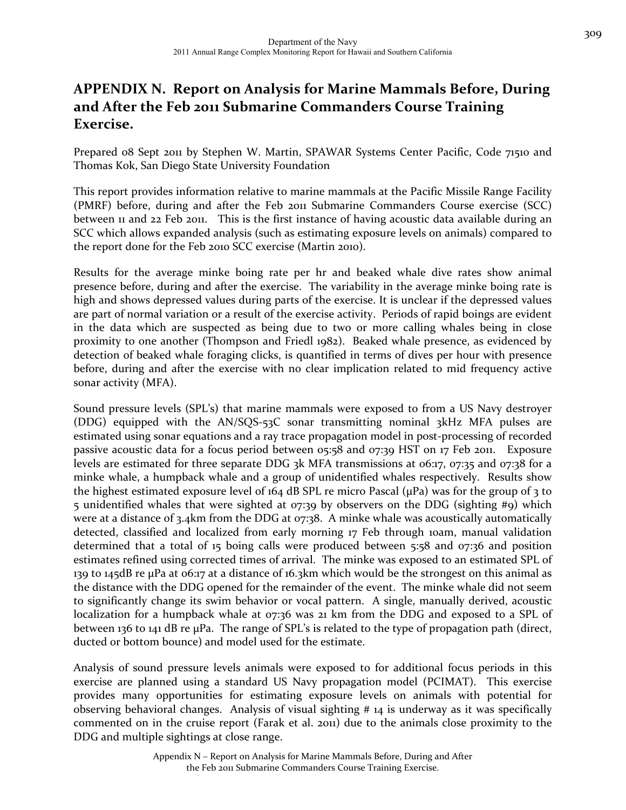# **APPENDIX N. Report on Analysis for Marine Mammals Before, During and After the Feb 2011 Submarine Commanders Course Training Exercise.**

Prepared 08 Sept 2011 by Stephen W. Martin, SPAWAR Systems Center Pacific, Code 71510 and Thomas Kok, San Diego State University Foundation

This report provides information relative to marine mammals at the Pacific Missile Range Facility (PMRF) before, during and after the Feb 2011 Submarine Commanders Course exercise (SCC) between 11 and 22 Feb 2011. This is the first instance of having acoustic data available during an SCC which allows expanded analysis (such as estimating exposure levels on animals) compared to the report done for the Feb 2010 SCC exercise (Martin 2010).

Results for the average minke boing rate per hr and beaked whale dive rates show animal presence before, during and after the exercise. The variability in the average minke boing rate is high and shows depressed values during parts of the exercise. It is unclear if the depressed values are part of normal variation or a result of the exercise activity. Periods of rapid boings are evident in the data which are suspected as being due to two or more calling whales being in close proximity to one another (Thompson and Friedl 1982). Beaked whale presence, as evidenced by detection of beaked whale foraging clicks, is quantified in terms of dives per hour with presence before, during and after the exercise with no clear implication related to mid frequency active sonar activity (MFA).

Sound pressure levels (SPL's) that marine mammals were exposed to from a US Navy destroyer (DDG) equipped with the AN/SQS‐53C sonar transmitting nominal 3kHz MFA pulses are estimated using sonar equations and a ray trace propagation model in post-processing of recorded passive acoustic data for a focus period between 05:58 and 07:39 HST on 17 Feb 2011. Exposure levels are estimated for three separate DDG 3k MFA transmissions at 06:17, 07:35 and 07:38 for a minke whale, a humpback whale and a group of unidentified whales respectively. Results show the highest estimated exposure level of  $164$  dB SPL re micro Pascal ( $\mu$ Pa) was for the group of 3 to 5 unidentified whales that were sighted at 07:39 by observers on the DDG (sighting #9) which were at a distance of 3.4km from the DDG at 07:38. A minke whale was acoustically automatically detected, classified and localized from early morning 17 Feb through 10am, manual validation determined that a total of 15 boing calls were produced between 5:58 and 07:36 and position estimates refined using corrected times of arrival. The minke was exposed to an estimated SPL of 139 to 145dB re µPa at 06:17 at a distance of 16.3km which would be the strongest on this animal as the distance with the DDG opened for the remainder of the event. The minke whale did not seem to significantly change its swim behavior or vocal pattern. A single, manually derived, acoustic localization for a humpback whale at 07:36 was 21 km from the DDG and exposed to a SPL of between 136 to 141 dB re µPa. The range of SPL's is related to the type of propagation path (direct, ducted or bottom bounce) and model used for the estimate.

Analysis of sound pressure levels animals were exposed to for additional focus periods in this exercise are planned using a standard US Navy propagation model (PCIMAT). This exercise provides many opportunities for estimating exposure levels on animals with potential for observing behavioral changes. Analysis of visual sighting # 14 is underway as it was specifically commented on in the cruise report (Farak et al. 2011) due to the animals close proximity to the DDG and multiple sightings at close range.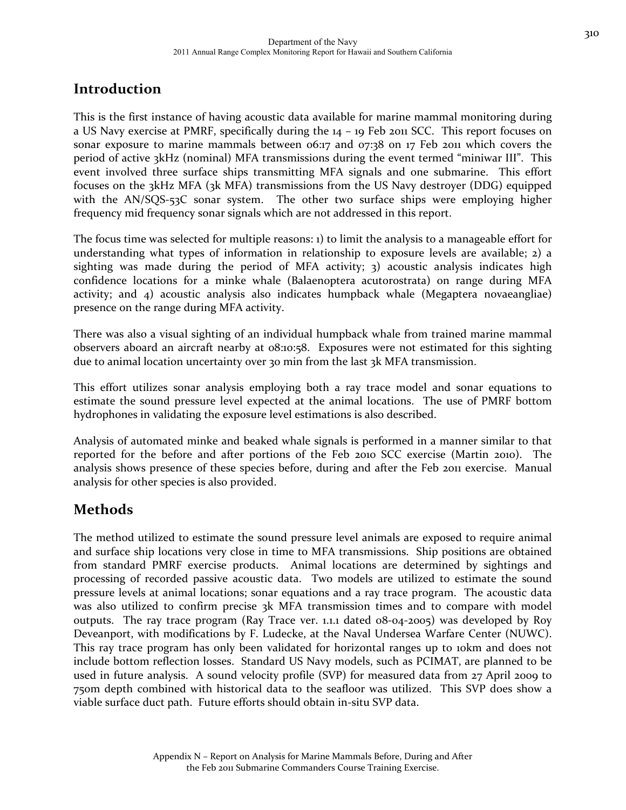### **Introduction**

This is the first instance of having acoustic data available for marine mammal monitoring during a US Navy exercise at PMRF, specifically during the 14 – 19 Feb 2011 SCC. This report focuses on sonar exposure to marine mammals between 06:17 and 07:38 on 17 Feb 2011 which covers the period of active 3kHz (nominal) MFA transmissions during the event termed "miniwar III". This event involved three surface ships transmitting MFA signals and one submarine. This effort focuses on the 3kHz MFA (3k MFA) transmissions from the US Navy destroyer (DDG) equipped with the AN/SQS-53C sonar system. The other two surface ships were employing higher frequency mid frequency sonar signals which are not addressed in this report.

The focus time was selected for multiple reasons: 1) to limit the analysis to a manageable effort for understanding what types of information in relationship to exposure levels are available; 2) a sighting was made during the period of MFA activity; 3) acoustic analysis indicates high confidence locations for a minke whale (Balaenoptera acutorostrata) on range during MFA activity; and 4) acoustic analysis also indicates humpback whale (Megaptera novaeangliae) presence on the range during MFA activity.

There was also a visual sighting of an individual humpback whale from trained marine mammal observers aboard an aircraft nearby at 08:10:58. Exposures were not estimated for this sighting due to animal location uncertainty over 30 min from the last 3k MFA transmission.

This effort utilizes sonar analysis employing both a ray trace model and sonar equations to estimate the sound pressure level expected at the animal locations. The use of PMRF bottom hydrophones in validating the exposure level estimations is also described.

Analysis of automated minke and beaked whale signals is performed in a manner similar to that reported for the before and after portions of the Feb 2010 SCC exercise (Martin 2010). The analysis shows presence of these species before, during and after the Feb 2011 exercise. Manual analysis for other species is also provided.

### **Methods**

The method utilized to estimate the sound pressure level animals are exposed to require animal and surface ship locations very close in time to MFA transmissions. Ship positions are obtained from standard PMRF exercise products. Animal locations are determined by sightings and processing of recorded passive acoustic data. Two models are utilized to estimate the sound pressure levels at animal locations; sonar equations and a ray trace program. The acoustic data was also utilized to confirm precise 3k MFA transmission times and to compare with model outputs. The ray trace program (Ray Trace ver. 1.1.1 dated 08‐04‐2005) was developed by Roy Deveanport, with modifications by F. Ludecke, at the Naval Undersea Warfare Center (NUWC). This ray trace program has only been validated for horizontal ranges up to 10km and does not include bottom reflection losses. Standard US Navy models, such as PCIMAT, are planned to be used in future analysis. A sound velocity profile (SVP) for measured data from 27 April 2009 to 750m depth combined with historical data to the seafloor was utilized. This SVP does show a viable surface duct path. Future efforts should obtain in‐situ SVP data.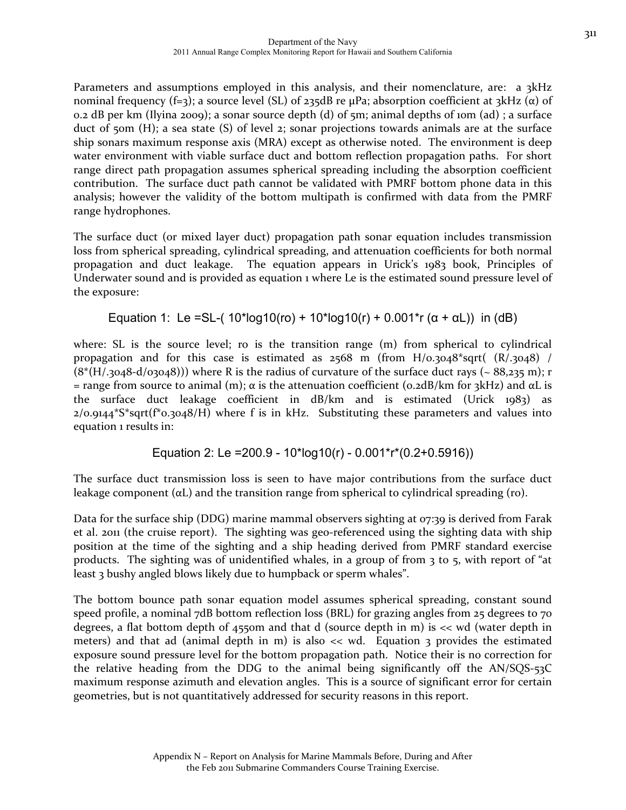311

Parameters and assumptions employed in this analysis, and their nomenclature, are: a 3kHz nominal frequency (f=3); a source level (SL) of 235dB re μPa; absorption coefficient at 3kHz (α) of 0.2 dB per km (Ilyina 2009); a sonar source depth (d) of 5m; animal depths of 10m (ad) ; a surface duct of  $50m$  (H); a sea state (S) of level 2; sonar projections towards animals are at the surface ship sonars maximum response axis (MRA) except as otherwise noted. The environment is deep water environment with viable surface duct and bottom reflection propagation paths. For short range direct path propagation assumes spherical spreading including the absorption coefficient contribution. The surface duct path cannot be validated with PMRF bottom phone data in this analysis; however the validity of the bottom multipath is confirmed with data from the PMRF range hydrophones.

The surface duct (or mixed layer duct) propagation path sonar equation includes transmission loss from spherical spreading, cylindrical spreading, and attenuation coefficients for both normal propagation and duct leakage. The equation appears in Urick's 1983 book, Principles of Underwater sound and is provided as equation 1 where Le is the estimated sound pressure level of the exposure:

Equation 1: Le =SL-(  $10*log10(ro) + 10*log10(r) + 0.001*r (α + αL)$ ) in (dB)

where: SL is the source level; ro is the transition range (m) from spherical to cylindrical propagation and for this case is estimated as  $2568$  m (from H/0.3048\*sqrt(  $(R/.3048)$  /  $(8*(H/.3048-d/03048)))$  where R is the radius of curvature of the surface duct rays (~ 88,235 m); r = range from source to animal (m);  $\alpha$  is the attenuation coefficient (0.2dB/km for 3kHz) and  $\alpha$ L is the surface duct leakage coefficient in dB/km and is estimated (Urick 1983) as  $2/0.9144*S*sqrt(f*0.3048/H)$  where f is in kHz. Substituting these parameters and values into equation 1 results in:

Equation 2: Le =200.9 - 10\*log10(r) - 0.001\*r\*(0.2+0.5916))

The surface duct transmission loss is seen to have major contributions from the surface duct leakage component (αL) and the transition range from spherical to cylindrical spreading (ro).

Data for the surface ship (DDG) marine mammal observers sighting at 07:39 is derived from Farak et al. 2011 (the cruise report). The sighting was geo-referenced using the sighting data with ship position at the time of the sighting and a ship heading derived from PMRF standard exercise products. The sighting was of unidentified whales, in a group of from 3 to 5, with report of "at least 3 bushy angled blows likely due to humpback or sperm whales".

The bottom bounce path sonar equation model assumes spherical spreading, constant sound speed profile, a nominal 7dB bottom reflection loss (BRL) for grazing angles from 25 degrees to 70 degrees, a flat bottom depth of  $455$ om and that d (source depth in m) is  $\lt$  wd (water depth in meters) and that ad (animal depth in m) is also  $\ll$  wd. Equation 3 provides the estimated exposure sound pressure level for the bottom propagation path. Notice their is no correction for the relative heading from the DDG to the animal being significantly off the AN/SQS‐53C maximum response azimuth and elevation angles. This is a source of significant error for certain geometries, but is not quantitatively addressed for security reasons in this report.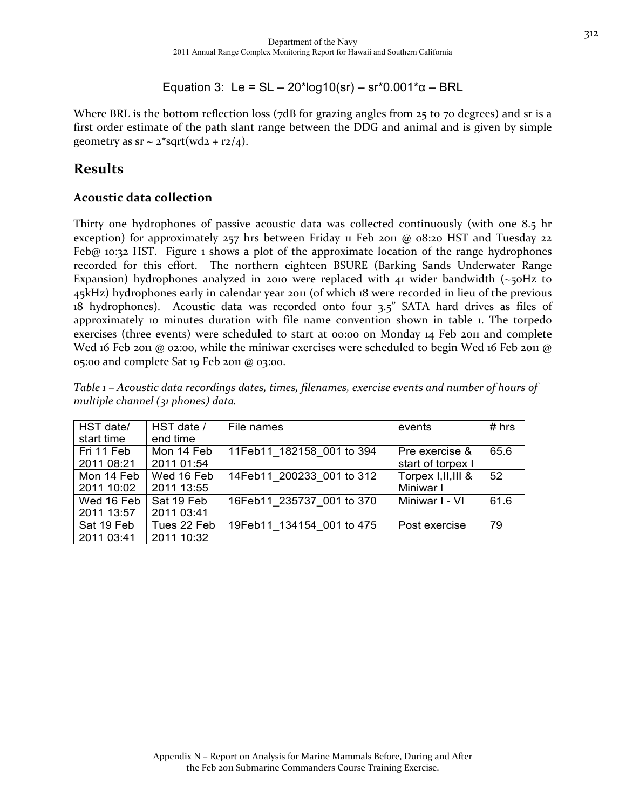Equation 3: Le = SL – 20\*log10(sr) – sr\*0.001\*α – BRL

Where BRL is the bottom reflection loss (7dB for grazing angles from 25 to 70 degrees) and sr is a first order estimate of the path slant range between the DDG and animal and is given by simple geometry as  $sr \sim z$ \*sqrt(wd2 + r2/4).

### **Results**

#### **Acoustic data collection**

Thirty one hydrophones of passive acoustic data was collected continuously (with one 8.5 hr exception) for approximately  $257$  hrs between Friday 11 Feb 2011 @ 08:20 HST and Tuesday 22 Feb@ 10:32 HST. Figure 1 shows a plot of the approximate location of the range hydrophones recorded for this effort. The northern eighteen BSURE (Barking Sands Underwater Range Expansion) hydrophones analyzed in 2010 were replaced with 41 wider bandwidth  $\sim$ 50Hz to 45kHz) hydrophones early in calendar year 2011 (of which 18 were recorded in lieu of the previous 18 hydrophones). Acoustic data was recorded onto four 3.5" SATA hard drives as files of approximately 10 minutes duration with file name convention shown in table 1. The torpedo exercises (three events) were scheduled to start at 00:00 on Monday 14 Feb 2011 and complete Wed 16 Feb 2011 @ 02:00, while the miniwar exercises were scheduled to begin Wed 16 Feb 2011 @ 05:00 and complete Sat 19 Feb 2011 @ 03:00.

| Table 1 – Acoustic data recordings dates, times, filenames, exercise events and number of hours of |  |  |
|----------------------------------------------------------------------------------------------------|--|--|
| multiple channel (31 phones) data.                                                                 |  |  |

| HST date/  | HST date /  | File names                | events              | # hrs |
|------------|-------------|---------------------------|---------------------|-------|
| start time | end time    |                           |                     |       |
| Fri 11 Feb | Mon 14 Feb  | 11Feb11 182158 001 to 394 | Pre exercise &      | 65.6  |
| 2011 08:21 | 2011 01:54  |                           | start of torpex I   |       |
| Mon 14 Feb | Wed 16 Feb  | 14Feb11 200233 001 to 312 | Torpex I, II, III & | 52    |
| 2011 10:02 | 2011 13:55  |                           | Miniwar I           |       |
| Wed 16 Feb | Sat 19 Feb  | 16Feb11 235737 001 to 370 | Miniwar I - VI      | 61.6  |
| 2011 13:57 | 2011 03:41  |                           |                     |       |
| Sat 19 Feb | Tues 22 Feb | 19Feb11 134154 001 to 475 | Post exercise       | 79    |
| 2011 03:41 | 2011 10:32  |                           |                     |       |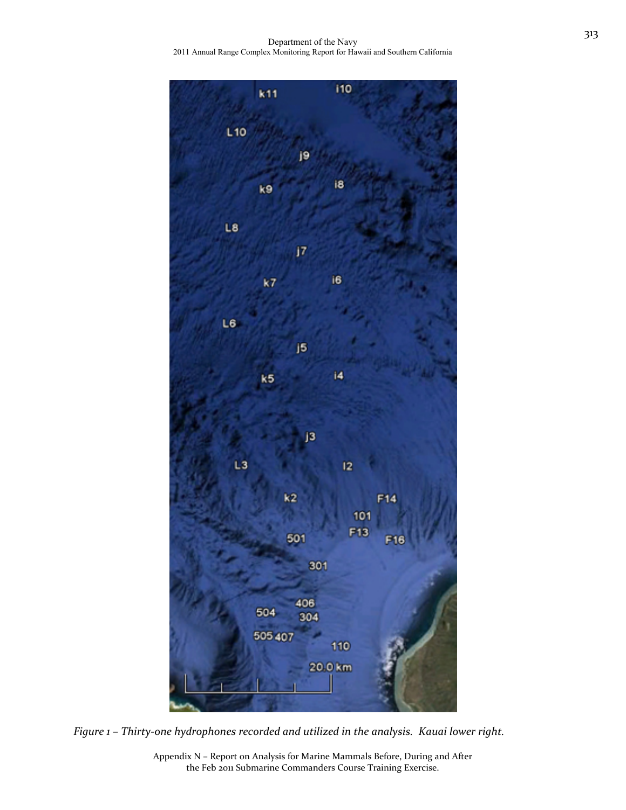Department of the Navy 2011 Annual Range Complex Monitoring Report for Hawaii and Southern California



*Figure 1 – Thirty‐one hydrophones recorded and utilized in the analysis. Kauai lower right.*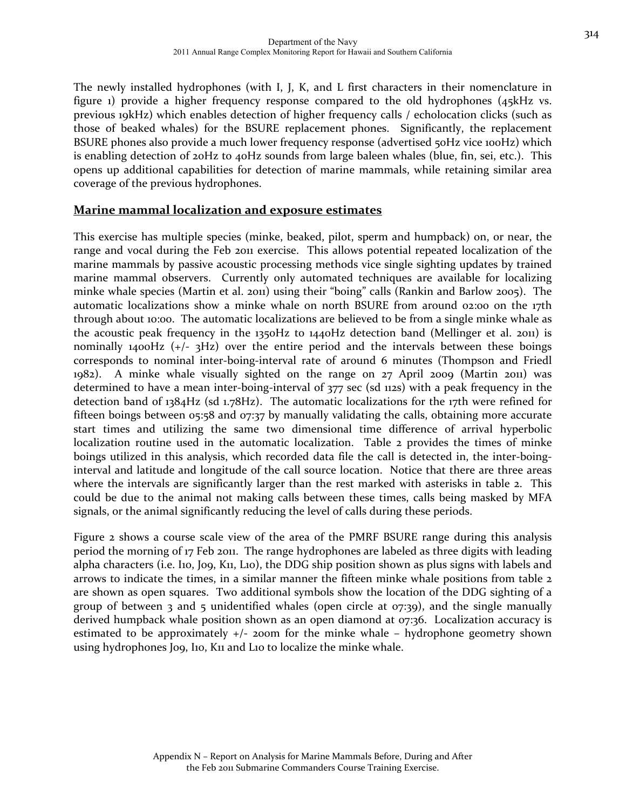The newly installed hydrophones (with I, J, K, and L first characters in their nomenclature in figure 1) provide a higher frequency response compared to the old hydrophones (45kHz vs. previous 19kHz) which enables detection of higher frequency calls / echolocation clicks (such as those of beaked whales) for the BSURE replacement phones. Significantly, the replacement BSURE phones also provide a much lower frequency response (advertised 50Hz vice 100Hz) which is enabling detection of 20Hz to 40Hz sounds from large baleen whales (blue, fin, sei, etc.). This opens up additional capabilities for detection of marine mammals, while retaining similar area coverage of the previous hydrophones.

#### **Marine mammal localization and exposure estimates**

This exercise has multiple species (minke, beaked, pilot, sperm and humpback) on, or near, the range and vocal during the Feb 2011 exercise. This allows potential repeated localization of the marine mammals by passive acoustic processing methods vice single sighting updates by trained marine mammal observers. Currently only automated techniques are available for localizing minke whale species (Martin et al. 2011) using their "boing" calls (Rankin and Barlow 2005). The automatic localizations show a minke whale on north BSURE from around 02:00 on the 17th through about 10:00. The automatic localizations are believed to be from a single minke whale as the acoustic peak frequency in the 1350Hz to 1440Hz detection band (Mellinger et al. 2011) is nominally 1400Hz  $(+/- 3)$  over the entire period and the intervals between these boings corresponds to nominal inter‐boing‐interval rate of around 6 minutes (Thompson and Friedl  $1982$ ). A minke whale visually sighted on the range on  $27$  April 2009 (Martin 2011) was determined to have a mean inter‐boing‐interval of 377 sec (sd 112s) with a peak frequency in the detection band of 1384Hz (sd 1.78Hz). The automatic localizations for the 17th were refined for fifteen boings between 05:58 and 07:37 by manually validating the calls, obtaining more accurate start times and utilizing the same two dimensional time difference of arrival hyperbolic localization routine used in the automatic localization. Table 2 provides the times of minke boings utilized in this analysis, which recorded data file the call is detected in, the inter‐boing‐ interval and latitude and longitude of the call source location. Notice that there are three areas where the intervals are significantly larger than the rest marked with asterisks in table 2. This could be due to the animal not making calls between these times, calls being masked by MFA signals, or the animal significantly reducing the level of calls during these periods.

Figure 2 shows a course scale view of the area of the PMRF BSURE range during this analysis period the morning of 17 Feb 2011. The range hydrophones are labeled as three digits with leading alpha characters (i.e. I10, J09, K11, L10), the DDG ship position shown as plus signs with labels and arrows to indicate the times, in a similar manner the fifteen minke whale positions from table 2 are shown as open squares. Two additional symbols show the location of the DDG sighting of a group of between 3 and 5 unidentified whales (open circle at  $\sigma$ *z*:39), and the single manually derived humpback whale position shown as an open diamond at 07:36. Localization accuracy is estimated to be approximately  $+/-$  200m for the minke whale – hydrophone geometry shown using hydrophones J09, I10, K11 and L10 to localize the minke whale.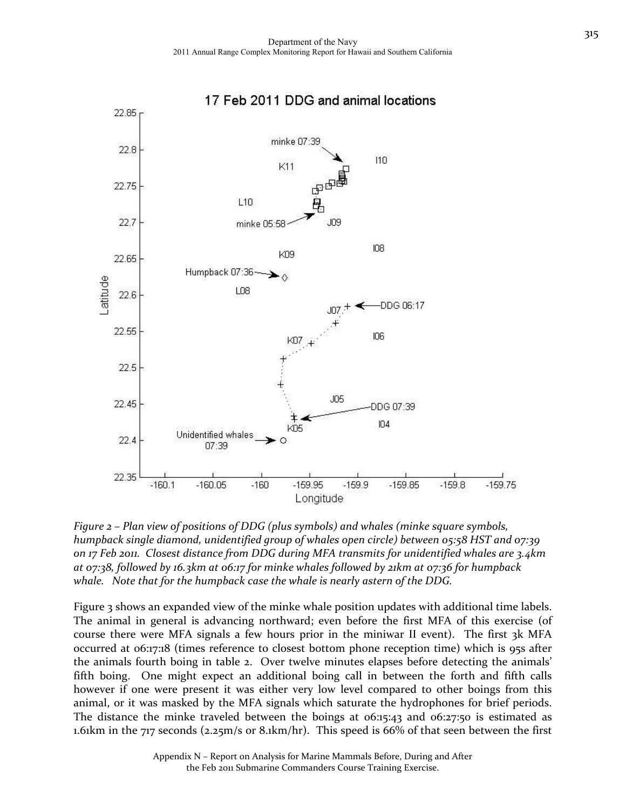

*Figure 2 – Plan view of positions of DDG (plus symbols) and whales (minke square symbols, humpback single diamond, unidentified group of whales open circle) between 05:58 HST and 07:39 on 17 Feb 2011. Closest distance from DDG during MFA transmits for unidentified whales are 3.4km at 07:38, followed by 16.3km at 06:17 for minke whales followed by 21km at 07:36 for humpback whale. Note that for the humpback case the whale is nearly astern of the DDG.*

Figure 3 shows an expanded view of the minke whale position updates with additional time labels. The animal in general is advancing northward; even before the first MFA of this exercise (of course there were MFA signals a few hours prior in the miniwar II event). The first 3k MFA occurred at 06:17:18 (times reference to closest bottom phone reception time) which is 95s after the animals fourth boing in table 2. Over twelve minutes elapses before detecting the animals' fifth boing. One might expect an additional boing call in between the forth and fifth calls however if one were present it was either very low level compared to other boings from this animal, or it was masked by the MFA signals which saturate the hydrophones for brief periods. The distance the minke traveled between the boings at  $0.15:43$  and  $0.05:27:50$  is estimated as 1.61km in the 717 seconds (2.25m/s or 8.1km/hr). This speed is 66% of that seen between the first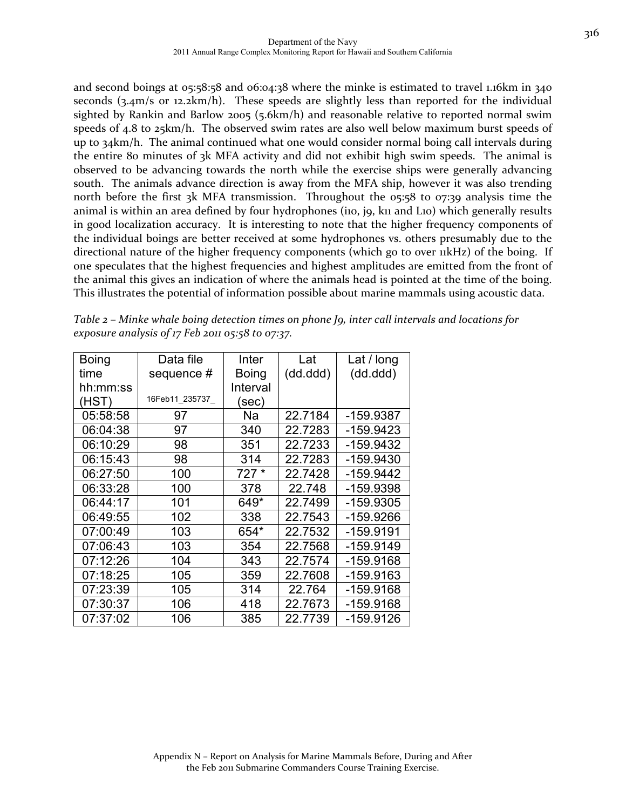and second boings at 05:58:58 and 06:04:38 where the minke is estimated to travel 1.16km in 340 seconds (3.4m/s or 12.2km/h). These speeds are slightly less than reported for the individual sighted by Rankin and Barlow 2005 (5.6km/h) and reasonable relative to reported normal swim speeds of 4.8 to 25km/h. The observed swim rates are also well below maximum burst speeds of up to 34km/h. The animal continued what one would consider normal boing call intervals during the entire 80 minutes of 3k MFA activity and did not exhibit high swim speeds. The animal is observed to be advancing towards the north while the exercise ships were generally advancing south. The animals advance direction is away from the MFA ship, however it was also trending north before the first 3k MFA transmission. Throughout the 05:58 to 07:39 analysis time the animal is within an area defined by four hydrophones (iio, j9, k11 and L10) which generally results in good localization accuracy. It is interesting to note that the higher frequency components of the individual boings are better received at some hydrophones vs. others presumably due to the directional nature of the higher frequency components (which go to over  $\mu$ kHz) of the boing. If one speculates that the highest frequencies and highest amplitudes are emitted from the front of the animal this gives an indication of where the animals head is pointed at the time of the boing. This illustrates the potential of information possible about marine mammals using acoustic data.

| <b>Boing</b> | Data file      | Inter        | Lat       | Lat / long  |
|--------------|----------------|--------------|-----------|-------------|
| time         | sequence #     | <b>Boing</b> | (dd. ddd) | (dd.ddd)    |
| hh:mm:ss     |                | Interval     |           |             |
| (HST)        | 16Feb11 235737 | (sec)        |           |             |
| 05:58:58     | 97             | Na           | 22.7184   | -159.9387   |
| 06:04:38     | 97             | 340          | 22.7283   | -159.9423   |
| 06:10:29     | 98             | 351          | 22.7233   | -159.9432   |
| 06:15:43     | 98             | 314          | 22.7283   | -159.9430   |
| 06:27:50     | 100            | $727*$       | 22.7428   | $-159.9442$ |
| 06:33:28     | 100            | 378          | 22.748    | -159.9398   |
| 06:44:17     | 101            | 649*         | 22.7499   | -159.9305   |
| 06:49:55     | 102            | 338          | 22.7543   | -159.9266   |
| 07:00:49     | 103            | 654*         | 22.7532   | -159.9191   |
| 07:06:43     | 103            | 354          | 22.7568   | -159.9149   |
| 07:12:26     | 104            | 343          | 22.7574   | -159.9168   |
| 07:18:25     | 105            | 359          | 22.7608   | -159.9163   |
| 07:23:39     | 105            | 314          | 22.764    | -159.9168   |
| 07:30:37     | 106            | 418          | 22.7673   | -159.9168   |
| 07:37:02     | 106            | 385          | 22.7739   | -159.9126   |

*Table 2 – Minke whale boing detection times on phone J9, inter call intervals and locations for exposure analysis of 17 Feb 2011 05:58 to 07:37.*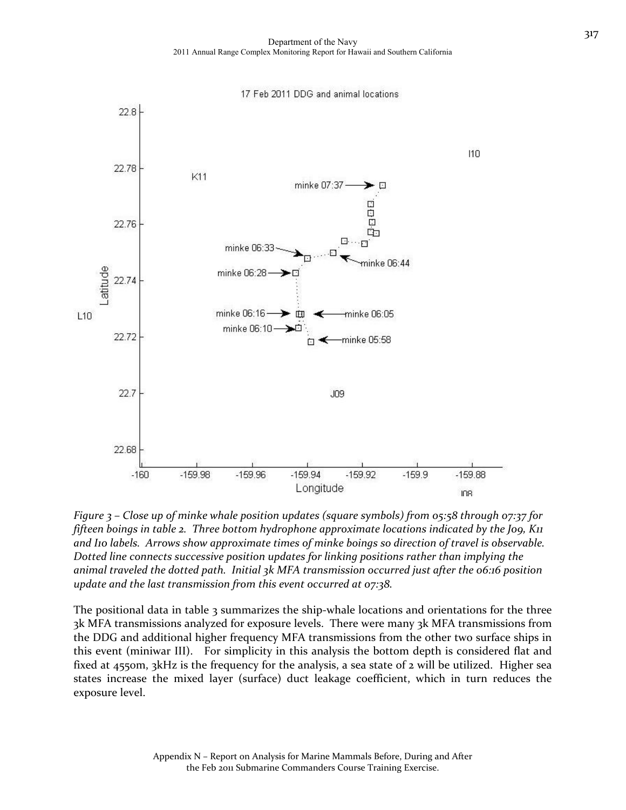17 Feb 2011 DDG and animal locations 22.8 110 22.78 K11 minke 07:37  $\overline{ }$ 日日 Ġ 22.76 Ġ٦ 同 ninke 06:44 .atitude minke 06:28 22.74 minke 06:16 ➤▥ minke 06:05  $L10$ minke 06:10-22.72 minke 05:58 22.7  $J09$ 22.68  $-159.94$  $-159.92$  $-160$  $-159.98$  $-159.96$  $-159.9$  $-159.88$ Longitude ID<sub>8</sub>



The positional data in table 3 summarizes the ship-whale locations and orientations for the three 3k MFA transmissions analyzed for exposure levels. There were many 3k MFA transmissions from the DDG and additional higher frequency MFA transmissions from the other two surface ships in this event (miniwar III). For simplicity in this analysis the bottom depth is considered flat and fixed at 4550m, 3kHz is the frequency for the analysis, a sea state of 2 will be utilized. Higher sea states increase the mixed layer (surface) duct leakage coefficient, which in turn reduces the exposure level.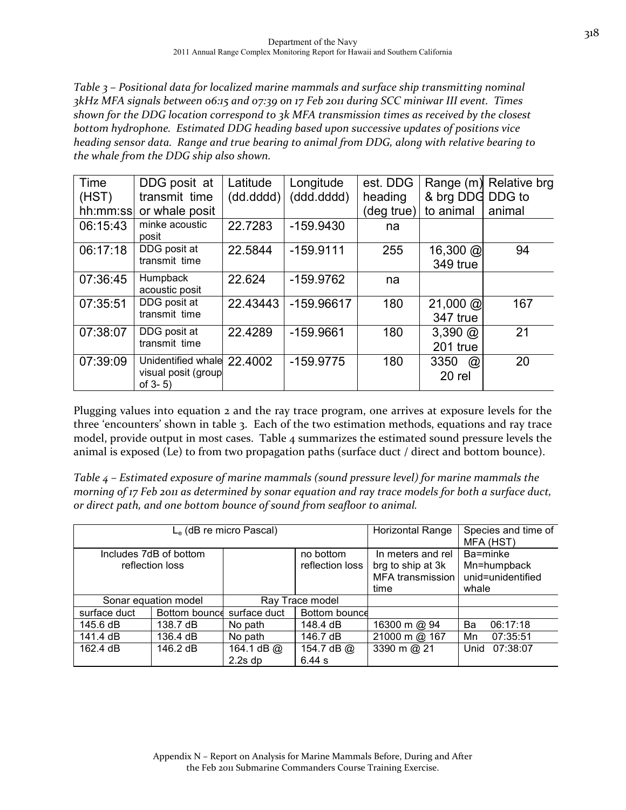*Table 3 – Positional data for localized marine mammals and surface ship transmitting nominal 3kHz MFA signals between 06:15 and 07:39 on 17 Feb 2011 during SCC miniwar III event. Times shown for the DDG location correspond to 3k MFA transmission times as received by the closest bottom hydrophone. Estimated DDG heading based upon successive updates of positions vice heading sensor data. Range and true bearing to animal from DDG, along with relative bearing to the whale from the DDG ship also shown.*

| Time      | DDG posit at                                                      | Latitude  | Longitude   | est. DDG   | Range (m)                                     | Relative brg |
|-----------|-------------------------------------------------------------------|-----------|-------------|------------|-----------------------------------------------|--------------|
| (HST)     | transmit time                                                     | (dd.dddd) | (ddd.dddd)  | heading    | & brg DDG DDG to                              |              |
| hh:mm:ssl | or whale posit                                                    |           |             | (deg true) | to animal                                     | animal       |
| 06:15:43  | minke acoustic<br>posit                                           | 22.7283   | $-159.9430$ | na         |                                               |              |
| 06:17:18  | DDG posit at<br>transmit time                                     | 22.5844   | $-159.9111$ | 255        | $16,300 \; \textcircled{a}$<br>349 true       | 94           |
| 07:36:45  | Humpback<br>acoustic posit                                        | 22.624    | $-159.9762$ | na         |                                               |              |
| 07:35:51  | DDG posit at<br>transmit time                                     | 22.43443  | -159.96617  | 180        | $21,000 \text{ } \textcircled{a}$<br>347 true | 167          |
| 07:38:07  | DDG posit at<br>transmit time                                     | 22.4289   | $-159.9661$ | 180        | $3,390 \; \textcircled{a}$<br>201 true        | 21           |
| 07:39:09  | Unidentified whale 22.4002<br>visual posit (group<br>of $3 - 5$ ) |           | $-159.9775$ | 180        | 3350<br>$^{\circledR}$<br>20 rel              | 20           |

Plugging values into equation 2 and the ray trace program, one arrives at exposure levels for the three 'encounters' shown in table 3. Each of the two estimation methods, equations and ray trace model, provide output in most cases. Table 4 summarizes the estimated sound pressure levels the animal is exposed (Le) to from two propagation paths (surface duct / direct and bottom bounce).

*Table 4 – Estimated exposure of marine mammals (sound pressure level) for marine mammals the* morning of 17 Feb 2011 as determined by sonar equation and ray trace models for both a surface duct, *or direct path, and one bottom bounce of sound from seafloor to animal.*

| $Le$ (dB re micro Pascal)                 |                      |                       |                              | <b>Horizontal Range</b>                                                   | Species and time of<br>MFA (HST)                      |
|-------------------------------------------|----------------------|-----------------------|------------------------------|---------------------------------------------------------------------------|-------------------------------------------------------|
| Includes 7dB of bottom<br>reflection loss |                      |                       | no bottom<br>reflection loss | In meters and rel<br>brg to ship at 3k<br><b>MFA</b> transmission<br>time | Ba=minke<br>Mn=humpback<br>unid=unidentified<br>whale |
|                                           | Sonar equation model |                       | Ray Trace model              |                                                                           |                                                       |
| Bottom bounce<br>surface duct             |                      | surface duct          | Bottom bounce                |                                                                           |                                                       |
| 145.6 dB                                  | 138.7 dB             | No path               | 148.4 dB                     | 16300 m @ 94                                                              | Ba<br>06:17:18                                        |
| 141.4 dB                                  | 136.4 dB             | No path               | 146.7 dB                     | 21000 m @ 167                                                             | 07:35:51<br>Mn                                        |
| 162.4 dB                                  | 146.2 dB             | 164.1 dB @<br>2.2s dp | 154.7 dB @<br>6.44 s         | 3390 m @ 21                                                               | Unid<br>07:38:07                                      |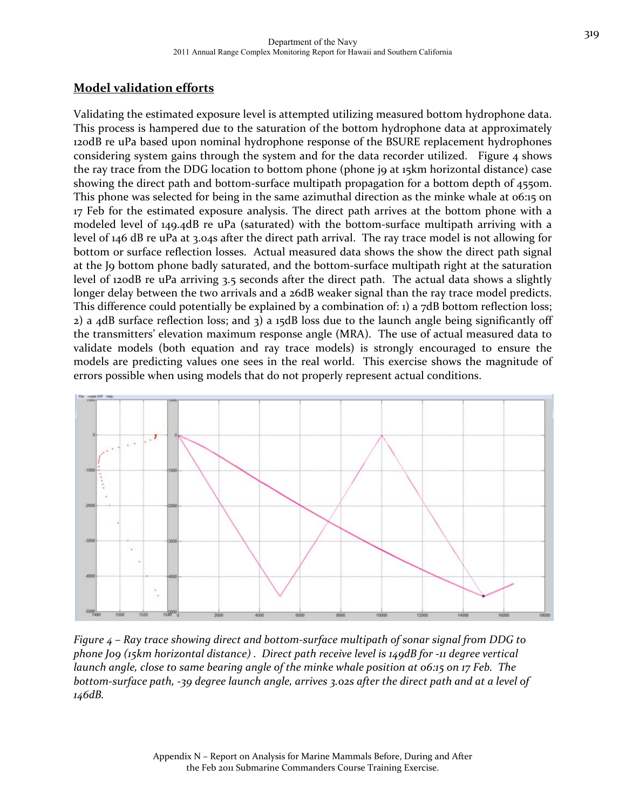### **Model validation efforts**

Validating the estimated exposure level is attempted utilizing measured bottom hydrophone data. This process is hampered due to the saturation of the bottom hydrophone data at approximately 120dB re uPa based upon nominal hydrophone response of the BSURE replacement hydrophones considering system gains through the system and for the data recorder utilized. Figure  $\alpha$  shows the ray trace from the DDG location to bottom phone (phone jo at 15km horizontal distance) case showing the direct path and bottom‐surface multipath propagation for a bottom depth of 4550m. This phone was selected for being in the same azimuthal direction as the minke whale at 06:15 on 17 Feb for the estimated exposure analysis. The direct path arrives at the bottom phone with a modeled level of 149.4dB re uPa (saturated) with the bottom-surface multipath arriving with a level of 146 dB re uPa at 3.04s after the direct path arrival. The ray trace model is not allowing for bottom or surface reflection losses. Actual measured data shows the show the direct path signal at the J9 bottom phone badly saturated, and the bottom‐surface multipath right at the saturation level of 120dB re uPa arriving 3.5 seconds after the direct path. The actual data shows a slightly longer delay between the two arrivals and a 26dB weaker signal than the ray trace model predicts. This difference could potentially be explained by a combination of: 1) a 7dB bottom reflection loss; 2) a 4dB surface reflection loss; and 3) a 15dB loss due to the launch angle being significantly off the transmitters' elevation maximum response angle (MRA). The use of actual measured data to validate models (both equation and ray trace models) is strongly encouraged to ensure the models are predicting values one sees in the real world. This exercise shows the magnitude of errors possible when using models that do not properly represent actual conditions.



*Figure 4 – Ray trace showing direct and bottom‐surface multipath of sonar signal from DDG to phone J09 (15km horizontal distance) . Direct path receive level is 149dB for ‐11 degree vertical* launch angle, close to same bearing angle of the minke whale position at 06:15 on 17 Feb. The bottom-surface path, -39 degree launch angle, arrives 3.02s after the direct path and at a level of *146dB.*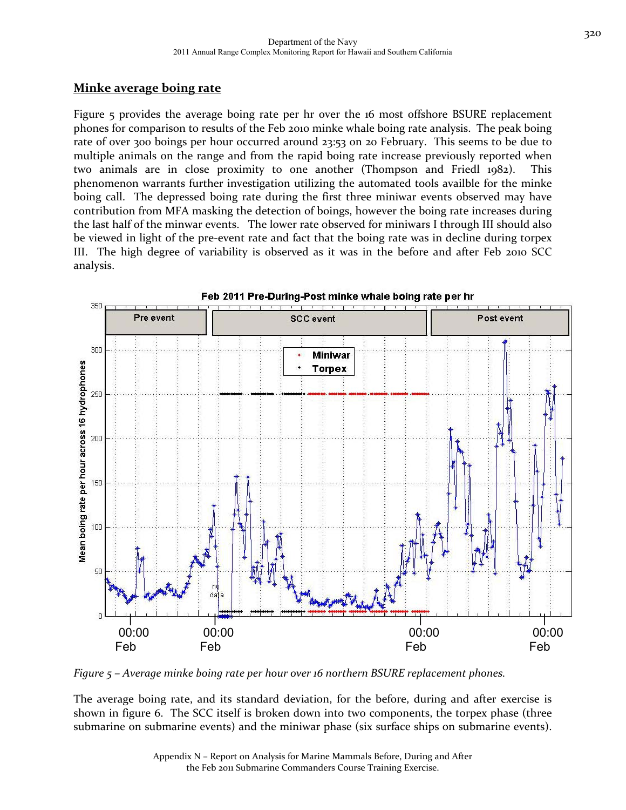320

### **Minke average boing rate**

Figure 5 provides the average boing rate per hr over the 16 most offshore BSURE replacement phones for comparison to results of the Feb 2010 minke whale boing rate analysis. The peak boing rate of over 300 boings per hour occurred around 23:53 on 20 February. This seems to be due to multiple animals on the range and from the rapid boing rate increase previously reported when two animals are in close proximity to one another (Thompson and Friedl 1982). This phenomenon warrants further investigation utilizing the automated tools availble for the minke boing call. The depressed boing rate during the first three miniwar events observed may have contribution from MFA masking the detection of boings, however the boing rate increases during the last half of the minwar events. The lower rate observed for miniwars I through III should also be viewed in light of the pre‐event rate and fact that the boing rate was in decline during torpex III. The high degree of variability is observed as it was in the before and after Feb 2010 SCC analysis.



Feb 2011 Pre-During-Post minke whale boing rate per hr

*Figure 5 – Average minke boing rate per hour over 16 northern BSURE replacement phones.* 

The average boing rate, and its standard deviation, for the before, during and after exercise is shown in figure 6. The SCC itself is broken down into two components, the torpex phase (three submarine on submarine events) and the miniwar phase (six surface ships on submarine events).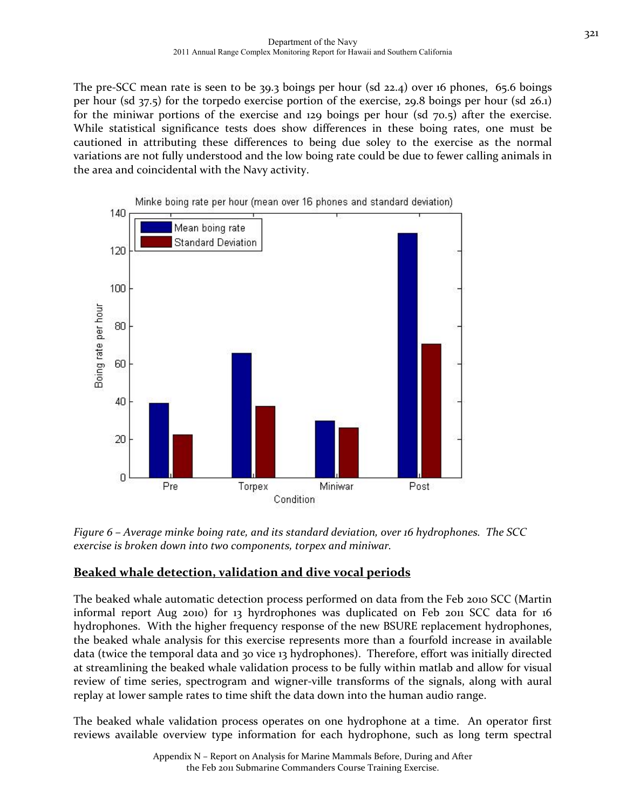The pre-SCC mean rate is seen to be 39.3 boings per hour (sd 22.4) over 16 phones, 65.6 boings per hour (sd 37.5) for the torpedo exercise portion of the exercise, 29.8 boings per hour (sd 26.1) for the miniwar portions of the exercise and 129 boings per hour (sd 70.5) after the exercise. While statistical significance tests does show differences in these boing rates, one must be cautioned in attributing these differences to being due soley to the exercise as the normal variations are not fully understood and the low boing rate could be due to fewer calling animals in the area and coincidental with the Navy activity.



*Figure 6 – Average minke boing rate, and its standard deviation, over 16 hydrophones. The SCC exercise is broken down into two components, torpex and miniwar.* 

#### **Beaked whale detection, validation and dive vocal periods**

The beaked whale automatic detection process performed on data from the Feb 2010 SCC (Martin informal report Aug 2010) for 13 hyrdrophones was duplicated on Feb 2011 SCC data for 16 hydrophones. With the higher frequency response of the new BSURE replacement hydrophones, the beaked whale analysis for this exercise represents more than a fourfold increase in available data (twice the temporal data and 30 vice 13 hydrophones). Therefore, effort was initially directed at streamlining the beaked whale validation process to be fully within matlab and allow for visual review of time series, spectrogram and wigner-ville transforms of the signals, along with aural replay at lower sample rates to time shift the data down into the human audio range.

The beaked whale validation process operates on one hydrophone at a time. An operator first reviews available overview type information for each hydrophone, such as long term spectral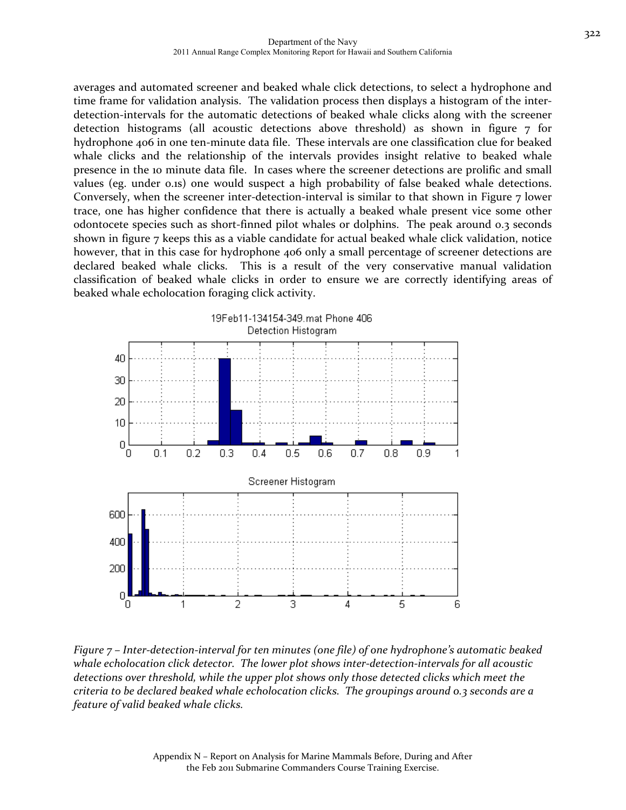averages and automated screener and beaked whale click detections, to select a hydrophone and time frame for validation analysis. The validation process then displays a histogram of the interdetection-intervals for the automatic detections of beaked whale clicks along with the screener detection histograms (all acoustic detections above threshold) as shown in figure 7 for hydrophone 406 in one ten-minute data file. These intervals are one classification clue for beaked whale clicks and the relationship of the intervals provides insight relative to beaked whale presence in the 10 minute data file. In cases where the screener detections are prolific and small values (eg. under 0.1s) one would suspect a high probability of false beaked whale detections. Conversely, when the screener inter-detection-interval is similar to that shown in Figure  $7$  lower trace, one has higher confidence that there is actually a beaked whale present vice some other odontocete species such as short‐finned pilot whales or dolphins. The peak around 0.3 seconds shown in figure 7 keeps this as a viable candidate for actual beaked whale click validation, notice however, that in this case for hydrophone 406 only a small percentage of screener detections are declared beaked whale clicks. This is a result of the very conservative manual validation classification of beaked whale clicks in order to ensure we are correctly identifying areas of beaked whale echolocation foraging click activity.



Figure 7 - Inter-detection-interval for ten minutes (one file) of one hydrophone's automatic beaked *whale echolocation click detector. The lower plot shows inter‐detection‐intervals for all acoustic detections over threshold, while the upper plot shows only those detected clicks which meet the criteria to be declared beaked whale echolocation clicks. The groupings around 0.3 seconds are a feature of valid beaked whale clicks.*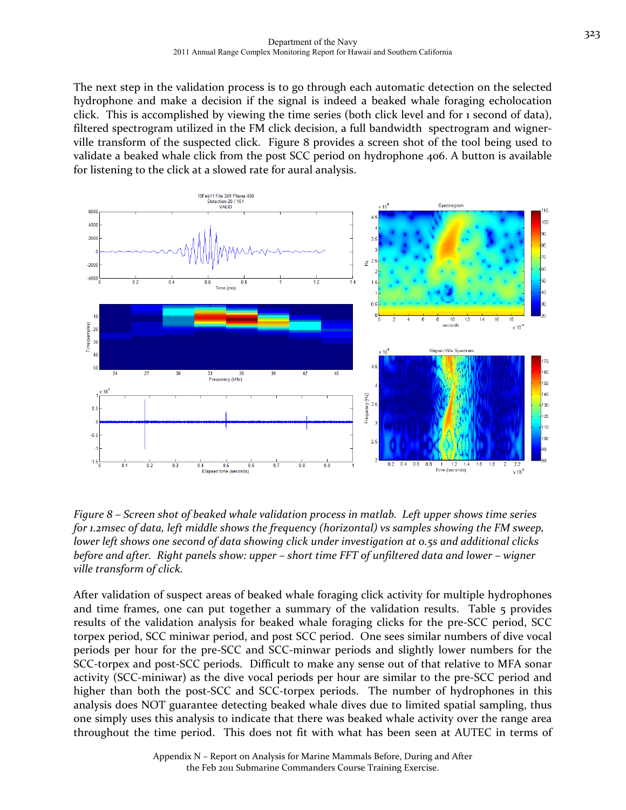The next step in the validation process is to go through each automatic detection on the selected hydrophone and make a decision if the signal is indeed a beaked whale foraging echolocation click. This is accomplished by viewing the time series (both click level and for 1 second of data), filtered spectrogram utilized in the FM click decision, a full bandwidth spectrogram and wigner– ville transform of the suspected click. Figure 8 provides a screen shot of the tool being used to validate a beaked whale click from the post SCC period on hydrophone 406. A button is available for listening to the click at a slowed rate for aural analysis.



*Figure 8 – Screen shot of beaked whale validation process in matlab. Left upper shows time series for 1.2msec of data, left middle shows the frequency (horizontal) vs samples showing the FM sweep, lower left shows one second of data showing click under investigation at 0.5s and additional clicks* before and after. Right panels show: upper – short time FFT of unfiltered data and lower – wigner *ville transform of click.* 

After validation of suspect areas of beaked whale foraging click activity for multiple hydrophones and time frames, one can put together a summary of the validation results. Table 5 provides results of the validation analysis for beaked whale foraging clicks for the pre‐SCC period, SCC torpex period, SCC miniwar period, and post SCC period. One sees similar numbers of dive vocal periods per hour for the pre‐SCC and SCC‐minwar periods and slightly lower numbers for the SCC-torpex and post-SCC periods. Difficult to make any sense out of that relative to MFA sonar activity (SCC‐miniwar) as the dive vocal periods per hour are similar to the pre‐SCC period and higher than both the post-SCC and SCC-torpex periods. The number of hydrophones in this analysis does NOT guarantee detecting beaked whale dives due to limited spatial sampling, thus one simply uses this analysis to indicate that there was beaked whale activity over the range area throughout the time period. This does not fit with what has been seen at AUTEC in terms of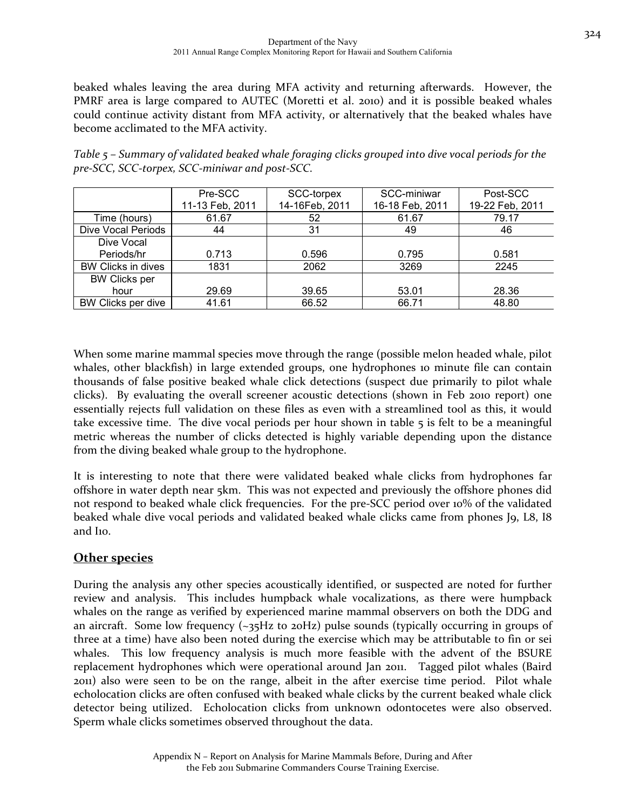beaked whales leaving the area during MFA activity and returning afterwards. However, the PMRF area is large compared to AUTEC (Moretti et al. 2010) and it is possible beaked whales could continue activity distant from MFA activity, or alternatively that the beaked whales have become acclimated to the MFA activity.

|                      | Pre-SCC         | SCC-torpex     | SCC-miniwar     | Post-SCC        |
|----------------------|-----------------|----------------|-----------------|-----------------|
|                      | 11-13 Feb, 2011 | 14-16Feb, 2011 | 16-18 Feb, 2011 | 19-22 Feb, 2011 |
| Time (hours)         | 61.67           | 52             | 61.67           | 79.17           |
| Dive Vocal Periods   | 44              | 31             | 49              | 46              |
| Dive Vocal           |                 |                |                 |                 |
| Periods/hr           | 0.713           | 0.596          | 0.795           | 0.581           |
| BW Clicks in dives   | 1831            | 2062           | 3269            | 2245            |
| <b>BW Clicks per</b> |                 |                |                 |                 |
| hour                 | 29.69           | 39.65          | 53.01           | 28.36           |
| BW Clicks per dive   | 41.61           | 66.52          | 66.71           | 48.80           |

*Table 5 – Summary of validated beaked whale foraging clicks grouped into dive vocal periods for the pre‐SCC, SCC‐torpex, SCC‐miniwar and post‐SCC.*

When some marine mammal species move through the range (possible melon headed whale, pilot whales, other blackfish) in large extended groups, one hydrophones 10 minute file can contain thousands of false positive beaked whale click detections (suspect due primarily to pilot whale clicks). By evaluating the overall screener acoustic detections (shown in Feb 2010 report) one essentially rejects full validation on these files as even with a streamlined tool as this, it would take excessive time. The dive vocal periods per hour shown in table 5 is felt to be a meaningful metric whereas the number of clicks detected is highly variable depending upon the distance from the diving beaked whale group to the hydrophone.

It is interesting to note that there were validated beaked whale clicks from hydrophones far offshore in water depth near 5km. This was not expected and previously the offshore phones did not respond to beaked whale click frequencies. For the pre-SCC period over 10% of the validated beaked whale dive vocal periods and validated beaked whale clicks came from phones J9, L8, I8 and I10.

#### **Other species**

During the analysis any other species acoustically identified, or suspected are noted for further review and analysis. This includes humpback whale vocalizations, as there were humpback whales on the range as verified by experienced marine mammal observers on both the DDG and an aircraft. Some low frequency (~35Hz to 20Hz) pulse sounds (typically occurring in groups of three at a time) have also been noted during the exercise which may be attributable to fin or sei whales. This low frequency analysis is much more feasible with the advent of the BSURE replacement hydrophones which were operational around Jan 2011. Tagged pilot whales (Baird 2011) also were seen to be on the range, albeit in the after exercise time period. Pilot whale echolocation clicks are often confused with beaked whale clicks by the current beaked whale click detector being utilized. Echolocation clicks from unknown odontocetes were also observed. Sperm whale clicks sometimes observed throughout the data.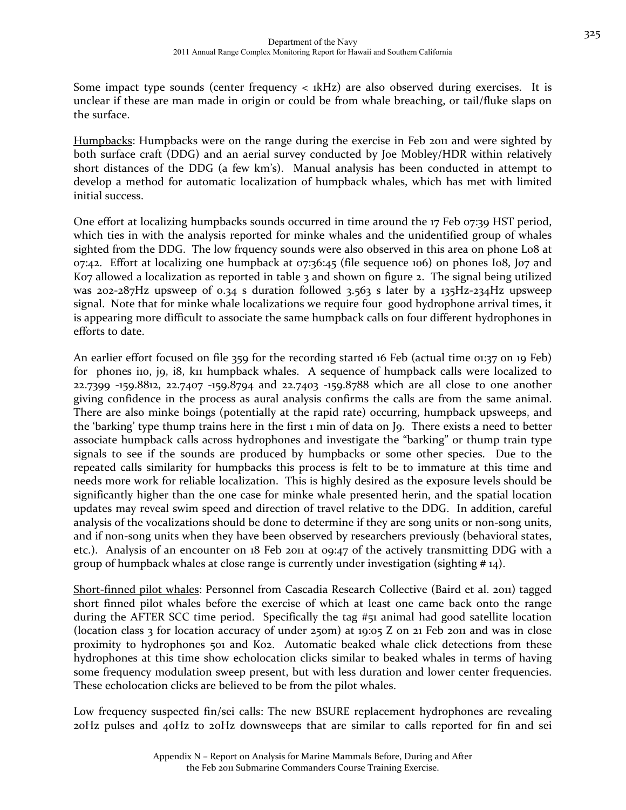Some impact type sounds (center frequency  $\langle$  1kHz) are also observed during exercises. It is unclear if these are man made in origin or could be from whale breaching, or tail/fluke slaps on the surface.

Humpbacks: Humpbacks were on the range during the exercise in Feb 2011 and were sighted by both surface craft (DDG) and an aerial survey conducted by Joe Mobley/HDR within relatively short distances of the DDG (a few km's). Manual analysis has been conducted in attempt to develop a method for automatic localization of humpback whales, which has met with limited initial success.

One effort at localizing humpbacks sounds occurred in time around the 17 Feb 07:39 HST period, which ties in with the analysis reported for minke whales and the unidentified group of whales sighted from the DDG. The low frquency sounds were also observed in this area on phone Lo8 at 07:42. Effort at localizing one humpback at 07:36:45 (file sequence 106) on phones I08, J07 and K07 allowed a localization as reported in table 3 and shown on figure 2. The signal being utilized was 202-287Hz upsweep of 0.34 s duration followed 3.563 s later by a 135Hz-234Hz upsweep signal. Note that for minke whale localizations we require four good hydrophone arrival times, it is appearing more difficult to associate the same humpback calls on four different hydrophones in efforts to date.

An earlier effort focused on file 359 for the recording started 16 Feb (actual time 01:37 on 19 Feb) for phones iio, j9, i8, kii humpback whales. A sequence of humpback calls were localized to 22.7399 ‐159.8812, 22.7407 ‐159.8794 and 22.7403 ‐159.8788 which are all close to one another giving confidence in the process as aural analysis confirms the calls are from the same animal. There are also minke boings (potentially at the rapid rate) occurring, humpback upsweeps, and the 'barking' type thump trains here in the first 1 min of data on J9. There exists a need to better associate humpback calls across hydrophones and investigate the "barking" or thump train type signals to see if the sounds are produced by humpbacks or some other species. Due to the repeated calls similarity for humpbacks this process is felt to be to immature at this time and needs more work for reliable localization. This is highly desired as the exposure levels should be significantly higher than the one case for minke whale presented herin, and the spatial location updates may reveal swim speed and direction of travel relative to the DDG. In addition, careful analysis of the vocalizations should be done to determine if they are song units or non‐song units, and if non-song units when they have been observed by researchers previously (behavioral states, etc.). Analysis of an encounter on 18 Feb 2011 at 09:47 of the actively transmitting DDG with a group of humpback whales at close range is currently under investigation (sighting  $\# 14$ ).

Short‐finned pilot whales: Personnel from Cascadia Research Collective (Baird et al. 2011) tagged short finned pilot whales before the exercise of which at least one came back onto the range during the AFTER SCC time period. Specifically the tag #51 animal had good satellite location (location class 3 for location accuracy of under 250m) at 19:05 Z on 21 Feb 2011 and was in close proximity to hydrophones 501 and K02. Automatic beaked whale click detections from these hydrophones at this time show echolocation clicks similar to beaked whales in terms of having some frequency modulation sweep present, but with less duration and lower center frequencies. These echolocation clicks are believed to be from the pilot whales.

Low frequency suspected fin/sei calls: The new BSURE replacement hydrophones are revealing 20Hz pulses and 40Hz to 20Hz downsweeps that are similar to calls reported for fin and sei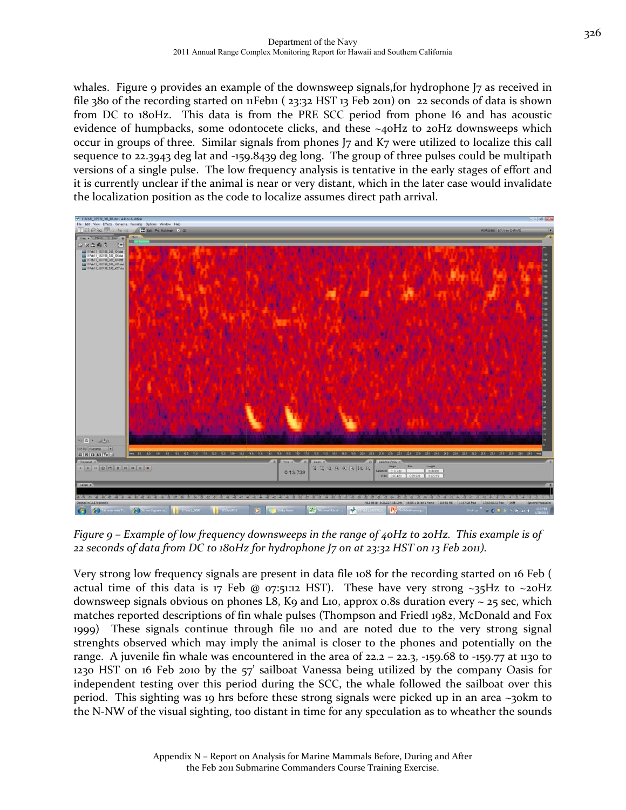whales. Figure 9 provides an example of the downsweep signals, for hydrophone J7 as received in file 380 of the recording started on 11Feb11 (23:32 HST 13 Feb 2011) on 22 seconds of data is shown from DC to 180Hz. This data is from the PRE SCC period from phone I6 and has acoustic evidence of humpbacks, some odontocete clicks, and these  $\sim$ 40Hz to 20Hz downsweeps which occur in groups of three. Similar signals from phones J7 and K7 were utilized to localize this call sequence to 22.3943 deg lat and ‐159.8439 deg long. The group of three pulses could be multipath versions of a single pulse. The low frequency analysis is tentative in the early stages of effort and it is currently unclear if the animal is near or very distant, which in the later case would invalidate the localization position as the code to localize assumes direct path arrival.



Figure  $9$  – Example of low frequency downsweeps in the range of  $40Hz$  to  $20Hz$ . This example is of 22 seconds of data from DC to 180Hz for hydrophone J7 on at 23:32 HST on 13 Feb 2011).

Very strong low frequency signals are present in data file 108 for the recording started on 16 Feb ( actual time of this data is 17 Feb @ 07:51:12 HST). These have very strong  $\sim$ 35Hz to  $\sim$ 20Hz downsweep signals obvious on phones L8, K9 and L10, approx 0.8s duration every  $\sim$  25 sec, which matches reported descriptions of fin whale pulses (Thompson and Friedl 1982, McDonald and Fox 1999) These signals continue through file 110 and are noted due to the very strong signal strenghts observed which may imply the animal is closer to the phones and potentially on the range. A juvenile fin whale was encountered in the area of  $22.2 - 22.3$ ,  $-159.68$  to  $-159.77$  at 1130 to 1230 HST on 16 Feb 2010 by the 57' sailboat Vanessa being utilized by the company Oasis for independent testing over this period during the SCC, the whale followed the sailboat over this period. This sighting was 19 hrs before these strong signals were picked up in an area ~30km to the N‐NW of the visual sighting, too distant in time for any speculation as to wheather the sounds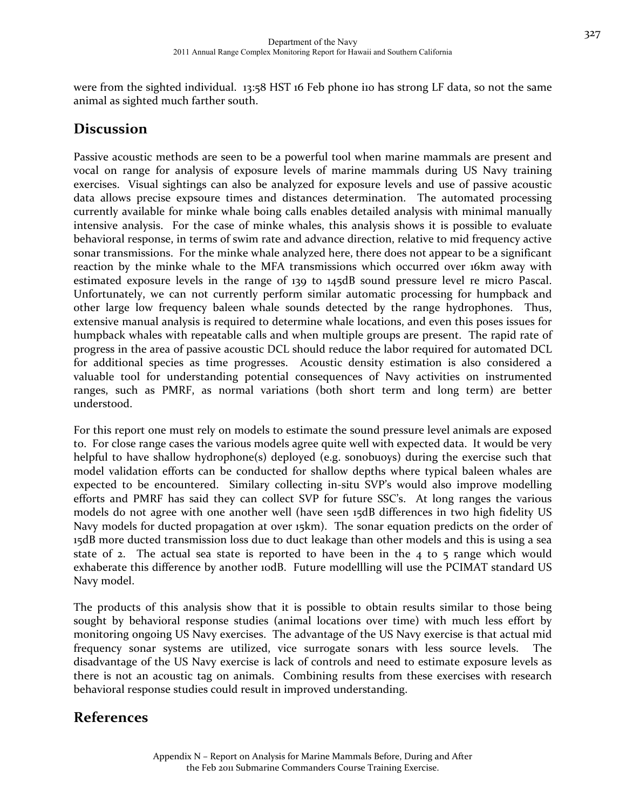were from the sighted individual. 13:58 HST 16 Feb phone iio has strong LF data, so not the same animal as sighted much farther south.

# **Discussion**

Passive acoustic methods are seen to be a powerful tool when marine mammals are present and vocal on range for analysis of exposure levels of marine mammals during US Navy training exercises. Visual sightings can also be analyzed for exposure levels and use of passive acoustic data allows precise expsoure times and distances determination. The automated processing currently available for minke whale boing calls enables detailed analysis with minimal manually intensive analysis. For the case of minke whales, this analysis shows it is possible to evaluate behavioral response, in terms of swim rate and advance direction, relative to mid frequency active sonar transmissions. For the minke whale analyzed here, there does not appear to be a significant reaction by the minke whale to the MFA transmissions which occurred over 16km away with estimated exposure levels in the range of 139 to 145dB sound pressure level re micro Pascal. Unfortunately, we can not currently perform similar automatic processing for humpback and other large low frequency baleen whale sounds detected by the range hydrophones. Thus, extensive manual analysis is required to determine whale locations, and even this poses issues for humpback whales with repeatable calls and when multiple groups are present. The rapid rate of progress in the area of passive acoustic DCL should reduce the labor required for automated DCL for additional species as time progresses. Acoustic density estimation is also considered a valuable tool for understanding potential consequences of Navy activities on instrumented ranges, such as PMRF, as normal variations (both short term and long term) are better understood.

For this report one must rely on models to estimate the sound pressure level animals are exposed to. For close range cases the various models agree quite well with expected data. It would be very helpful to have shallow hydrophone(s) deployed (e.g. sonobuoys) during the exercise such that model validation efforts can be conducted for shallow depths where typical baleen whales are expected to be encountered. Similary collecting in‐situ SVP's would also improve modelling efforts and PMRF has said they can collect SVP for future SSC's. At long ranges the various models do not agree with one another well (have seen 15dB differences in two high fidelity US Navy models for ducted propagation at over 15km). The sonar equation predicts on the order of 15dB more ducted transmission loss due to duct leakage than other models and this is using a sea state of 2. The actual sea state is reported to have been in the 4 to 5 range which would exhaberate this difference by another 10dB. Future modellling will use the PCIMAT standard US Navy model.

The products of this analysis show that it is possible to obtain results similar to those being sought by behavioral response studies (animal locations over time) with much less effort by monitoring ongoing US Navy exercises. The advantage of the US Navy exercise is that actual mid frequency sonar systems are utilized, vice surrogate sonars with less source levels. The disadvantage of the US Navy exercise is lack of controls and need to estimate exposure levels as there is not an acoustic tag on animals. Combining results from these exercises with research behavioral response studies could result in improved understanding.

## **References**